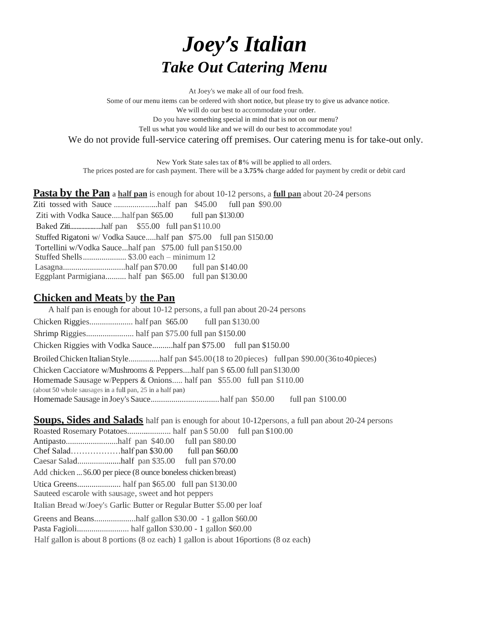# *Joey's Italian Take Out Catering Menu*

At Joey's we make all of our food fresh.

Some of our menu items can be ordered with short notice, but please try to give us advance notice.

We will do our best to accommodate your order.

Do you have something special in mind that is not on our menu?

Tell us what you would like and we will do our best to accommodate you!

We do not provide full-service catering off premises. Our catering menu is for take-out only.

New York State sales tax of **8%** will be applied to all orders. The prices posted are for cash payment. There will be a **3.75%** charge added for payment by credit or debit card

**Pasta by the Pan** a half pan is enough for about 10-12 persons, a full pan about 20-24 persons

| Ziti with Vodka Saucehalf pan \$65.00 full pan \$130.00           |  |
|-------------------------------------------------------------------|--|
|                                                                   |  |
| Stuffed Rigatoni w/ Vodka Saucehalf pan \$75.00 full pan \$150.00 |  |
| Tortellini w/Vodka Saucehalf pan \$75.00 full pan \$150.00        |  |
| Stuffed Shells \$3.00 each – minimum 12                           |  |
|                                                                   |  |
| Eggplant Parmigiana half pan \$65.00 full pan \$130.00            |  |

#### **Chicken and Meats** by **the Pan**

A half pan is enough for about 10-12 persons, a full pan about 20-24 persons Chicken Riggies..................... half pan \$65.00 full pan \$130.00 Shrimp Riggies....................... half pan \$75.00 full pan \$150.00 Chicken Riggies with Vodka Sauce..........half pan \$75.00 full pan \$150.00 BroiledChicken ItalianStyle...............half pan \$45.00(18 to 20pieces) fullpan \$90.00(36to40pieces) Chicken Cacciatore w/Mushrooms & Peppers....half pan \$ 65.00 full pan\$130.00 Homemade Sausage w/Peppers & Onions..... half pan \$55.00 full pan \$110.00 (about 50 whole sausages in a full pan, 25 in a half pan) Homemade Sausage inJoey's Sauce.................................half pan \$50.00 full pan \$100.00

#### **Soups, Sides and Salads** half pan is enough for about 10-12persons, a full pan about 20-24 persons Roasted Rosemary Potatoes..................... half pan \$ 50.00 full pan \$100.00

Antipasto.........................half pan \$40.00 full pan \$80.00 Chef Salad………………half pan \$30.00 full pan \$60.00

Caesar Salad.....................half pan \$35.00 full pan \$70.00

Add chicken ...\$6.00 per piece (8 ounce boneless chicken breast)

Utica Greens..................... half pan \$65.00 full pan \$130.00

Sauteed escarole with sausage, sweet and hot peppers

Italian Bread w/Joey's Garlic Butter or Regular Butter \$5.00 per loaf

Greens and Beans....................half gallon \$30.00 - 1 gallon \$60.00

Pasta Fagioli......................... half gallon \$30.00 - 1 gallon \$60.00

Half gallon is about 8 portions (8 oz each) 1 gallon is about 16portions (8 oz each)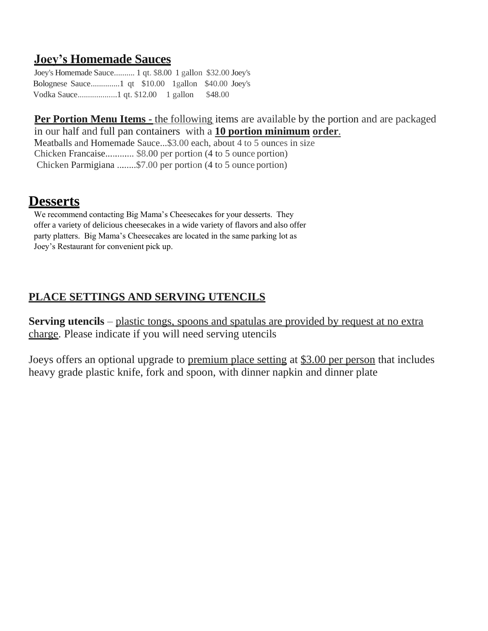### **Joey's Homemade Sauces**

Joey's Homemade Sauce.......... 1 qt. \$8.00 1 gallon \$32.00 Joey's Bolognese Sauce..............1 qt \$10.00 1gallon \$40.00 Joey's Vodka Sauce...................1 qt. \$12.00 1 gallon \$48.00

**Per Portion Menu Items** - the following items are available by the portion and are packaged in our half and full pan containers with a **10 portion minimum order**. Meatballs and Homemade Sauce...\$3.00 each, about 4 to 5 ounces in size

Chicken Francaise............ \$8.00 per portion (4 to 5 ounce portion) Chicken Parmigiana ........\$7.00 per portion (4 to 5 ounce portion)

## **Desserts**

We recommend contacting Big Mama's Cheesecakes for your desserts. They offer a variety of delicious cheesecakes in a wide variety of flavors and also offer party platters. Big Mama's Cheesecakes are located in the same parking lot as Joey's Restaurant for convenient pick up.

### **PLACE SETTINGS AND SERVING UTENCILS**

**Serving utencils** – plastic tongs, spoons and spatulas are provided by request at no extra charge. Please indicate if you will need serving utencils

Joeys offers an optional upgrade to premium place setting at \$3.00 per person that includes heavy grade plastic knife, fork and spoon, with dinner napkin and dinner plate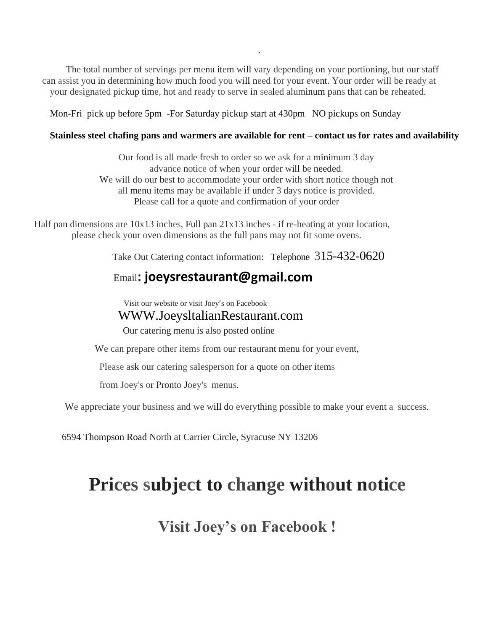The total number of servings per menu item will vary depending on your portioning, but our staff can assist you in determining how much food you will need for your event. Your order will be ready at your designated pickup time, hot and ready to serve in sealed aluminum pans that can be reheated.

Mon-Fri pick up before 5pm -For Saturday pickup start at 430pm NO pickups on Sunday

#### **Stainless steel chafing pans and warmers are available for rent – contact us for rates and availability**

.

Our food is all made fresh to order so we ask for a minimum 3 day advance notice of when your order will be needed. We will do our best to accommodate your order with short notice though not all menu items may be available if under 3 days notice is provided. Please call for a quote and confirmation of your order

Half pan dimensions are  $10x13$  inches, Full pan  $21x13$  inches - if re-heating at your location, please check your oven dimensions as the full pans may not fit some ovens.

Take Out Catering contact information: Telephone 315-432-0620

## Email**: joeysrestauran[t@g](mailto:Belinda@JoeysltalianRestaurant.com)mail.com**

Visit our website or visit Joey's on Facebook

#### [WWW.JoeysltalianRestaurant.com](http://www.joeysltalianrestaurant.com/)

Our catering menu is also posted online

We can prepare other items from our restaurant menu for your event,

Please ask our catering salesperson for a quote on other items

from Joey's or Pronto Joey's menus.

We appreciate your business and we will do everything possible to make your event a success.

6594 Thompson Road North at Carrier Circle, Syracuse NY 13206

# **Prices subject to change without notice**

## **Visit Joey's on Facebook !**